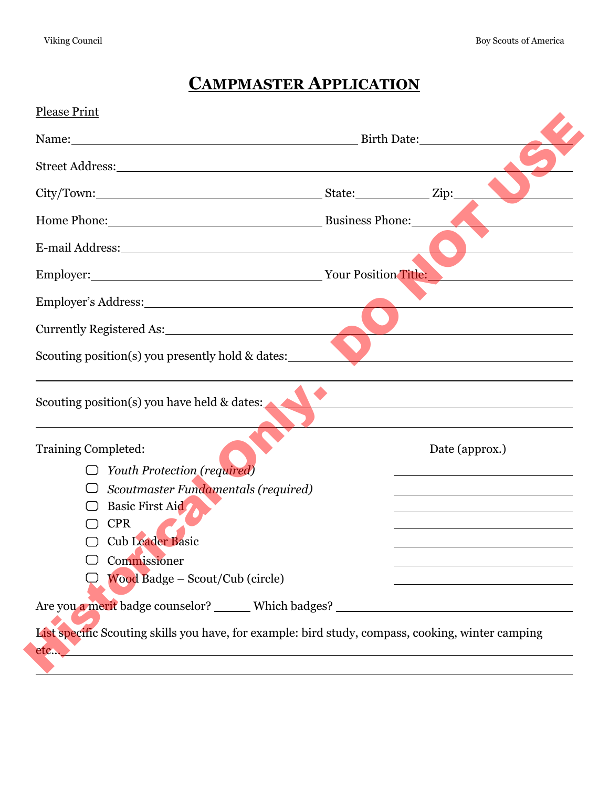## **CAMPMASTER APPLICATION**

| Name: Birth Date:                                                                                                                                                                                                              |                                                                                                                                                                                                                               |
|--------------------------------------------------------------------------------------------------------------------------------------------------------------------------------------------------------------------------------|-------------------------------------------------------------------------------------------------------------------------------------------------------------------------------------------------------------------------------|
| Street Address: North Contract of the Street Address: North Contract of the Street Address: North Contract of the Street Address: North Contract of the Street Address: North Contract of the Street Address: North Contract o |                                                                                                                                                                                                                               |
| City/Town: Zip:                                                                                                                                                                                                                |                                                                                                                                                                                                                               |
| Home Phone: Business Phone:                                                                                                                                                                                                    |                                                                                                                                                                                                                               |
| E-mail Address: No. 1998. The Common Section of the Common Section 1999.                                                                                                                                                       |                                                                                                                                                                                                                               |
| Employer: Vour Position Title:                                                                                                                                                                                                 |                                                                                                                                                                                                                               |
|                                                                                                                                                                                                                                |                                                                                                                                                                                                                               |
| Currently Registered As: 1999 March 2014                                                                                                                                                                                       |                                                                                                                                                                                                                               |
| Scouting position(s) you presently hold & dates:                                                                                                                                                                               |                                                                                                                                                                                                                               |
| Scouting position(s) you have held & dates:                                                                                                                                                                                    | the control of the control of the control of the control of the control of the control of the control of the control of the control of the control of the control of the control of the control of the control of the control |
| Training Completed:                                                                                                                                                                                                            | Date (approx.)                                                                                                                                                                                                                |
| Youth Protection (required)                                                                                                                                                                                                    |                                                                                                                                                                                                                               |
| Scoutmaster Fundamentals (required)                                                                                                                                                                                            |                                                                                                                                                                                                                               |
| Basic First Aid                                                                                                                                                                                                                |                                                                                                                                                                                                                               |
| <b>CPR</b><br><b>Cub Leader Basic</b>                                                                                                                                                                                          |                                                                                                                                                                                                                               |
|                                                                                                                                                                                                                                |                                                                                                                                                                                                                               |
| Commissioner<br>Wood Badge - Scout/Cub (circle)                                                                                                                                                                                |                                                                                                                                                                                                                               |
|                                                                                                                                                                                                                                |                                                                                                                                                                                                                               |
|                                                                                                                                                                                                                                |                                                                                                                                                                                                                               |
|                                                                                                                                                                                                                                |                                                                                                                                                                                                                               |
| Are you a merit badge counselor? ______ Which badges? ___________________________<br>List specific Scouting skills you have, for example: bird study, compass, cooking, winter camping                                         |                                                                                                                                                                                                                               |